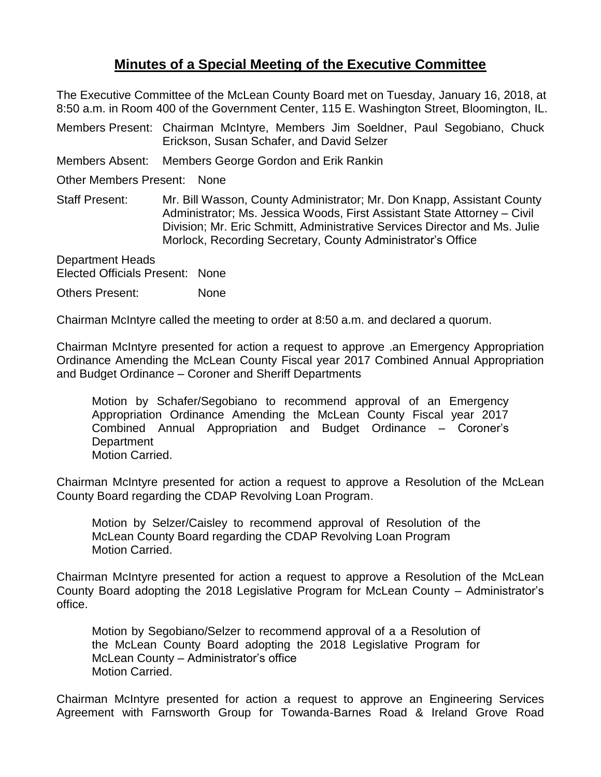## **Minutes of a Special Meeting of the Executive Committee**

The Executive Committee of the McLean County Board met on Tuesday, January 16, 2018, at 8:50 a.m. in Room 400 of the Government Center, 115 E. Washington Street, Bloomington, IL.

Members Present: Chairman McIntyre, Members Jim Soeldner, Paul Segobiano, Chuck Erickson, Susan Schafer, and David Selzer

Members Absent: Members George Gordon and Erik Rankin

Other Members Present: None

Staff Present: Mr. Bill Wasson, County Administrator; Mr. Don Knapp, Assistant County Administrator; Ms. Jessica Woods, First Assistant State Attorney – Civil Division; Mr. Eric Schmitt, Administrative Services Director and Ms. Julie Morlock, Recording Secretary, County Administrator's Office

Department Heads Elected Officials Present: None

Others Present: None

Chairman McIntyre called the meeting to order at 8:50 a.m. and declared a quorum.

Chairman McIntyre presented for action a request to approve .an Emergency Appropriation Ordinance Amending the McLean County Fiscal year 2017 Combined Annual Appropriation and Budget Ordinance – Coroner and Sheriff Departments

Motion by Schafer/Segobiano to recommend approval of an Emergency Appropriation Ordinance Amending the McLean County Fiscal year 2017 Combined Annual Appropriation and Budget Ordinance – Coroner's **Department** Motion Carried.

Chairman McIntyre presented for action a request to approve a Resolution of the McLean County Board regarding the CDAP Revolving Loan Program.

Motion by Selzer/Caisley to recommend approval of Resolution of the McLean County Board regarding the CDAP Revolving Loan Program Motion Carried.

Chairman McIntyre presented for action a request to approve a Resolution of the McLean County Board adopting the 2018 Legislative Program for McLean County – Administrator's office.

Motion by Segobiano/Selzer to recommend approval of a a Resolution of the McLean County Board adopting the 2018 Legislative Program for McLean County – Administrator's office Motion Carried.

Chairman McIntyre presented for action a request to approve an Engineering Services Agreement with Farnsworth Group for Towanda-Barnes Road & Ireland Grove Road